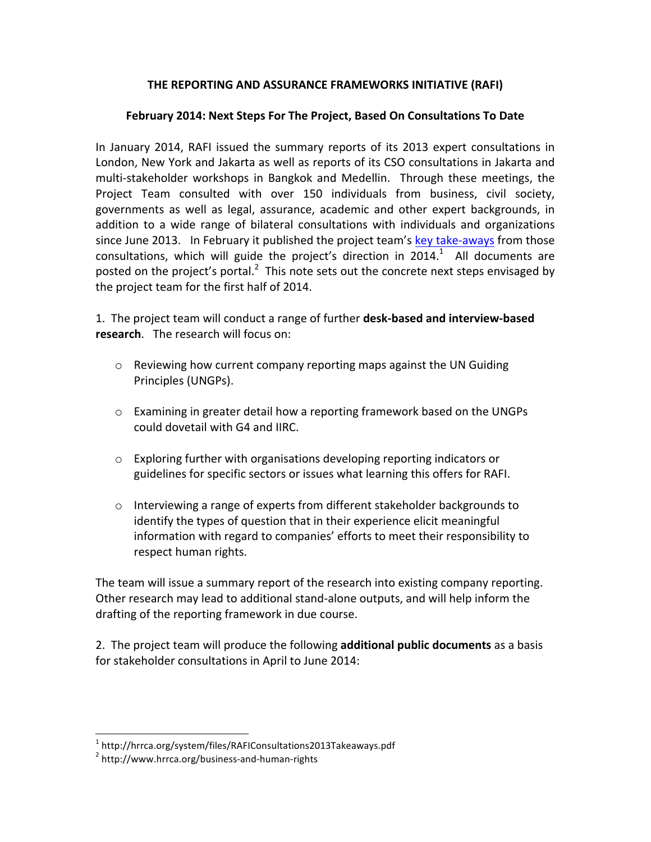## **THE REPORTING AND ASSURANCE FRAMEWORKS INITIATIVE (RAFI)**

## February 2014: Next Steps For The Project, Based On Consultations To Date

In January 2014, RAFI issued the summary reports of its 2013 expert consultations in London, New York and Jakarta as well as reports of its CSO consultations in Jakarta and multi-stakeholder workshops in Bangkok and Medellin. Through these meetings, the Project Team consulted with over 150 individuals from business, civil society, governments as well as legal, assurance, academic and other expert backgrounds, in addition to a wide range of bilateral consultations with individuals and organizations since June 2013. In February it published the project team's key take-aways from those consultations, which will guide the project's direction in 2014.<sup>1</sup> All documents are posted on the project's portal.<sup>2</sup> This note sets out the concrete next steps envisaged by the project team for the first half of 2014.

1. The project team will conduct a range of further **desk-based and interview-based research.** The research will focus on:

- $\circ$  Reviewing how current company reporting maps against the UN Guiding Principles (UNGPs).
- $\circ$  Examining in greater detail how a reporting framework based on the UNGPs could dovetail with G4 and IIRC.
- $\circ$  Exploring further with organisations developing reporting indicators or guidelines for specific sectors or issues what learning this offers for RAFI.
- $\circ$  Interviewing a range of experts from different stakeholder backgrounds to identify the types of question that in their experience elicit meaningful information with regard to companies' efforts to meet their responsibility to respect human rights.

The team will issue a summary report of the research into existing company reporting. Other research may lead to additional stand-alone outputs, and will help inform the drafting of the reporting framework in due course.

2. The project team will produce the following **additional public documents** as a basis for stakeholder consultations in April to June 2014:

<sup>&</sup>lt;sup>1</sup> http://hrrca.org/system/files/RAFIConsultations2013Takeaways.pdf

<sup>2</sup> http://www.hrrca.org/business-and-human-rights